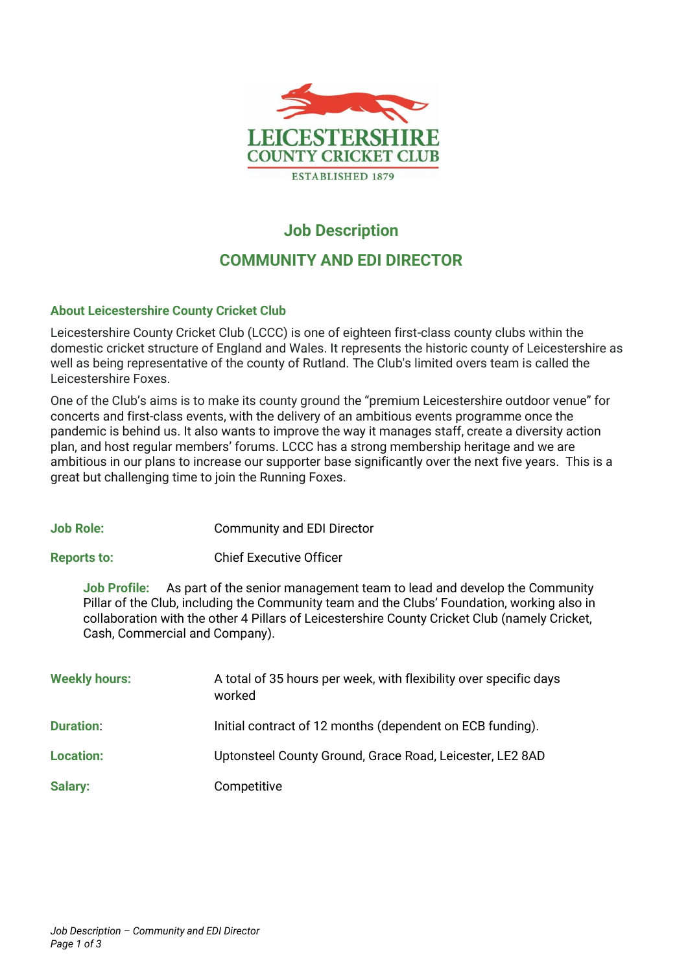

# **Job Description**

## **COMMUNITY AND EDI DIRECTOR**

## **About Leicestershire County Cricket Club**

Leicestershire County Cricket Club (LCCC) is one of eighteen first-class county clubs within the domestic cricket structure of England and Wales. It represents the historic county of Leicestershire as well as being representative of the county of Rutland. The Club's limited overs team is called the Leicestershire Foxes.

One of the Club's aims is to make its county ground the "premium Leicestershire outdoor venue" for concerts and first-class events, with the delivery of an ambitious events programme once the pandemic is behind us. It also wants to improve the way it manages staff, create a diversity action plan, and host regular members' forums. LCCC has a strong membership heritage and we are ambitious in our plans to increase our supporter base significantly over the next five years. This is a great but challenging time to join the Running Foxes.

**Job Role: Community and EDI Director** 

**Reports to:** Chief Executive Officer

**Job Profile:** As part of the senior management team to lead and develop the Community Pillar of the Club, including the Community team and the Clubs' Foundation, working also in collaboration with the other 4 Pillars of Leicestershire County Cricket Club (namely Cricket, Cash, Commercial and Company).

| <b>Weekly hours:</b> | A total of 35 hours per week, with flexibility over specific days<br>worked |
|----------------------|-----------------------------------------------------------------------------|
| <b>Duration:</b>     | Initial contract of 12 months (dependent on ECB funding).                   |
| <b>Location:</b>     | Uptonsteel County Ground, Grace Road, Leicester, LE2 8AD                    |
| <b>Salary:</b>       | Competitive                                                                 |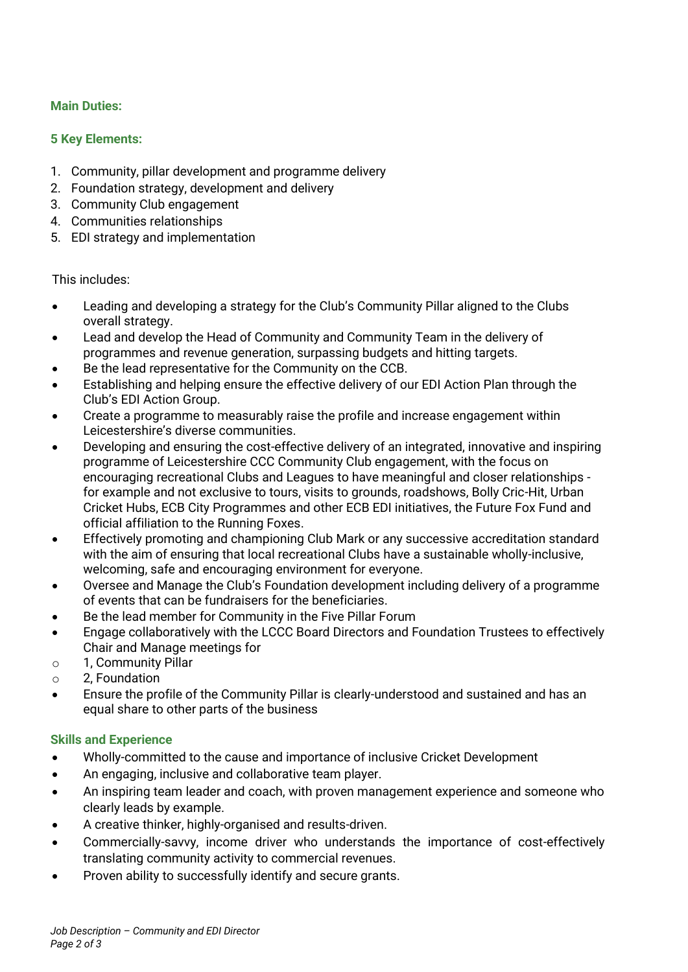## **Main Duties:**

## **5 Key Elements:**

- 1. Community, pillar development and programme delivery
- 2. Foundation strategy, development and delivery
- 3. Community Club engagement
- 4. Communities relationships
- 5. EDI strategy and implementation

### This includes:

- Leading and developing a strategy for the Club's Community Pillar aligned to the Clubs overall strategy.
- Lead and develop the Head of Community and Community Team in the delivery of programmes and revenue generation, surpassing budgets and hitting targets.
- Be the lead representative for the Community on the CCB.
- Establishing and helping ensure the effective delivery of our EDI Action Plan through the Club's EDI Action Group.
- Create a programme to measurably raise the profile and increase engagement within Leicestershire's diverse communities.
- Developing and ensuring the cost-effective delivery of an integrated, innovative and inspiring programme of Leicestershire CCC Community Club engagement, with the focus on encouraging recreational Clubs and Leagues to have meaningful and closer relationships for example and not exclusive to tours, visits to grounds, roadshows, Bolly Cric-Hit, Urban Cricket Hubs, ECB City Programmes and other ECB EDI initiatives, the Future Fox Fund and official affiliation to the Running Foxes.
- Effectively promoting and championing Club Mark or any successive accreditation standard with the aim of ensuring that local recreational Clubs have a sustainable wholly-inclusive, welcoming, safe and encouraging environment for everyone.
- Oversee and Manage the Club's Foundation development including delivery of a programme of events that can be fundraisers for the beneficiaries.
- Be the lead member for Community in the Five Pillar Forum
- Engage collaboratively with the LCCC Board Directors and Foundation Trustees to effectively Chair and Manage meetings for
- o 1, Community Pillar
- o 2, Foundation
- Ensure the profile of the Community Pillar is clearly-understood and sustained and has an equal share to other parts of the business

### **Skills and Experience**

- Wholly-committed to the cause and importance of inclusive Cricket Development
- An engaging, inclusive and collaborative team player.
- An inspiring team leader and coach, with proven management experience and someone who clearly leads by example.
- A creative thinker, highly-organised and results-driven.
- Commercially-savvy, income driver who understands the importance of cost-effectively translating community activity to commercial revenues.
- Proven ability to successfully identify and secure grants.